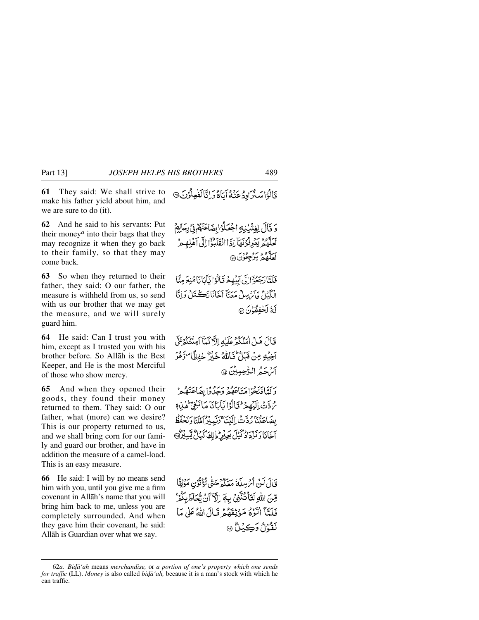**61** They said: We shall strive to make his father yield about him, and we are sure to do (it).

**62** And he said to his servants: Put their money*<sup>a</sup>* into their bags that they may recognize it when they go back to their family, so that they may come back.

**63** So when they returned to their father, they said: O our father, the measure is withheld from us, so send with us our brother that we may get the measure, and we will surely guard him.

**64** He said: Can I trust you with him, except as I trusted you with his brother before. So Allåh is the Best Keeper, and He is the most Merciful of those who show mercy.

**65** And when they opened their goods, they found their money returned to them. They said: O our father, what (more) can we desire? This is our property returned to us, and we shall bring corn for our family and guard our brother, and have in addition the measure of a camel-load. This is an easy measure.

**66** He said: I will by no means send him with you, until you give me a firm covenant in Allåh's name that you will bring him back to me, unless you are completely surrounded. And when they gave him their covenant, he said: Allåh is Guardian over what we say.

ىَالُوْاسَلُرَادِدُ عَنْهُ أَبَاهُ رَأَيَّا لَفُعِلُوْنَ@

وَ قَالَ لِفِتْنِينِهِ اجْعَلُوْابِضَاعَتَهُمْ فِي يَحَالِهِمْ بَعَدَهُمْ يَعْرِفُوْنَهَآ إِذَاانْقَلَبُوْۤا إِلَى أَهْلِهِمْ لَعَلَّمُهُمۡ يَرۡجِعُوۡنَ۞

فَلَتَّا رَجَعُوْٓٓا!لَّى اَبِنُهِمْ قَالُوۡا لَّالَاٰنَاهُنِعَ مِنَّا انْكَئَاكُ ذَآءُ بِسِلْ مَعَنَآ أَخَانَانَڪَنَارُ دَانَّا لَةُ لَحْفِظُهُنَ ۞

قَالَ هَلْ أَمَنُكُمْ عَلَيْهِ إِلَّا كَمَآ آمِنۡتُكُمۡكَنَّ آخِيْهِ مِنْ قَبْلُ فَاللَّهُ خَيْرٌ خَفِظًا ۗ وَهُوَ آثر كم الرّْحِيبِينَ ۞

دَلَّهًا فَتَحْوْاهَنَاعَهُمْ وَيَجِدُّدُا بِضَاعَتَهُمْ مُ دَّتْ إِلَيْهِمْ لَا تَالَوْا يَأْبَانَا مَا نَبْغِيْ لِهِ لِهِ مِ بِضَاعَتْنَا رُدَّتْ إِلَيْنَا ۚ وَنَعِبْرُ أَهْلَنَا وَبَحْفَظُ آخَانَا وَ يَزْدَاهُ كَيْلَ بِكِيْرِ ذَٰلِكَ كَيْلٌ يَّسِيْرُهَ

قَالَ لَنْ أَيْرِسِلَهُ مَعَكُمْ حَتَّى تُؤَتَّوُن مَرْثِقًا قِنَ اللَّهِ لَتَأْتُنَّنَّنِ بِهَمَ إِلَّا آنَ يُحَاظَ بِكُمْ فَلَعَّآ اٰتَّوۡهُ مَوۡنِقَهُمۡ قَبَالَ اللَّهُ عَلَىٰ مَا نَقَّةُ أَوْكِيَاتٌ ۞

<sup>62</sup>*a. Bi˙å'ah* means *merchandise,* or *a portion of one's property which one sends for traffic* (LL). *Money* is also called *bida* '*ah*, because it is a man's stock with which he can traffic.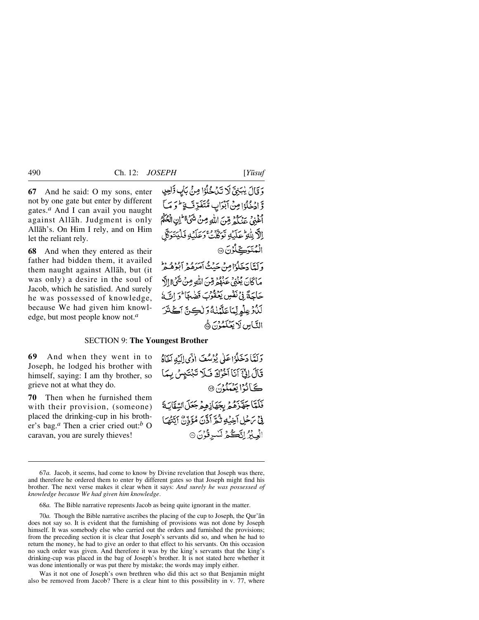**67** And he said: O my sons, enter not by one gate but enter by different gates.*<sup>a</sup>* And I can avail you naught against Allåh. Judgment is only Allåh's. On Him I rely, and on Him let the reliant rely.

**68** And when they entered as their father had bidden them, it availed them naught against Allåh, but (it was only) a desire in the soul of Jacob, which he satisfied. And surely he was possessed of knowledge, because We had given him knowledge, but most people know not.*<sup>a</sup>*

وَقَالَ يُبَنِيَّ لَا تَدَجْلُوْا مِنْ بَابٍ وَّاحِدٍ وَّ ادْ ثِكْرًا مِنْ آبْدَابِ مُّتَفَدِّفَ فَوَمَا أَخْنِي جَهْنَكُمْ مِّينَ اللَّهِ مِنْ شَيِّءٌ ۖ إِن الْمُحَكِّمُ الآرِيلُّهِ عَلَيْهِ تَوَكَّكَ وَعَلَيْهِ فَلَيَتَوَكَّلَ الْمُتَوَكِّلُوْنَ ۞

وَلَعًا دَخَلُوْامِنْ حَدْثُهُ أَمَرَهُ وَ آبُوهُ هُوَ مَاكَانَ يُغْنِى عَنْهُمْ قِنَ اللَّهِ مِنْ شَيْءٌ إِلَّ حَاجَةً فِي نَفْسٍ يَعْقُوبَ قَضِعاً فَوَ اتَّ لَمْ لَدُّوْعِلُمِ لِّمَاعَلَّهُنَّهُ وَ لَٰكِنَّ أَكَثَرَ التَّاس لَا يَعْلَمُهُنَّ هَ

## SECTION 9: **The Youngest Brother**

**69** And when they went in to Joseph, he lodged his brother with himself, saying: I am thy brother, so grieve not at what they do.

**70** Then when he furnished them with their provision, (someone) placed the drinking-cup in his brother's bag.*<sup>a</sup>* Then a crier cried out:*<sup>b</sup>* O caravan, you are surely thieves!

وَلَمَّا دَخَلُوْاعَلَى يُؤْسُفَ الْأَى اِلَيْهِ أَخَاهُ قَالَ إِنَّ آَنَا آَخْرُكَ فَلَا تَبْتَيْسُ بِهَا كَيَانُوْ الْعُمَلُوْنَ @ فَلَمَّا جَهَّزَهُمُ بِجَهَازِهِمْ جَعَلَ السَّقَابَةَ فِي تَرَحْلِ آَخِيَٰهِ ثُمَّرَ أَذَّنَ مُؤَذِّنٌ أَيَّتُهُمَا الْعِبْرُ اِتَكُمْ لَسْرِقُوْنَ 9

68*a.* The Bible narrative represents Jacob as being quite ignorant in the matter.

70*a.* Though the Bible narrative ascribes the placing of the cup to Joseph, the Qur'ån does not say so. It is evident that the furnishing of provisions was not done by Joseph himself. It was somebody else who carried out the orders and furnished the provisions; from the preceding section it is clear that Joseph's servants did so, and when he had to return the money, he had to give an order to that effect to his servants. On this occasion no such order was given. And therefore it was by the king's servants that the king's drinking-cup was placed in the bag of Joseph's brother. It is not stated here whether it was done intentionally or was put there by mistake; the words may imply either.

Was it not one of Joseph's own brethren who did this act so that Benjamin might also be removed from Jacob? There is a clear hint to this possibility in v. 77, where

<sup>67</sup>*a.* Jacob, it seems, had come to know by Divine revelation that Joseph was there, and therefore he ordered them to enter by different gates so that Joseph might find his brother. The next verse makes it clear when it says: *And surely he was possessed of knowledge because We had given him knowledge*.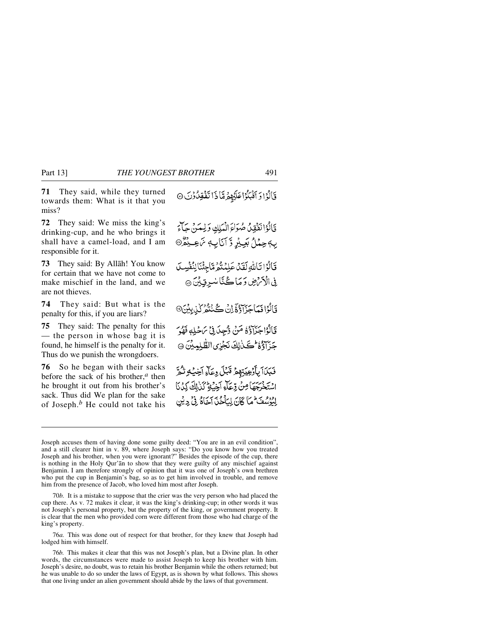**71** They said, while they turned towards them: What is it that you miss?

**72** They said: We miss the king's drinking-cup, and he who brings it shall have a camel-load, and I am responsible for it.

**73** They said: By Allåh! You know for certain that we have not come to make mischief in the land, and we are not thieves.

**74** They said: But what is the penalty for this, if you are liars?

**75** They said: The penalty for this — the person in whose bag it is found, he himself is the penalty for it. Thus do we punish the wrongdoers.

**76** So he began with their sacks before the sack of his brother,*<sup>a</sup>* then he brought it out from his brother's sack. Thus did We plan for the sake of Joseph.*<sup>b</sup>* He could not take his قَالُوْا وَ اَقْبَلُوْا عَلَيْهِمْ مِّا ذَا تَفْقِلُوْنَ ۞

قَالُوْا نَفْقِلُ صُوَاءَ الْمَلِكِ وَلِعَينَ جَاءَ *پ*4حِمْلُ بَعِيْرٍ وَّ اَنَابِ ۾ نَاعِيْدُ® قَالُوْا تَأَسُّولَقَدْ عَلِمُنْدُهُ مَاجِئُنَا لِنُفْسِلَ فِي الْأَمْنِ وَمَا كُنَّا سُرِقِينَ ۞ قَالُوْا فَمَاجَزَاؤُوَّ إِنْ كُنْتُمْ كَيْدِيْنَ@ قَالُوْۤاجَزَاوُۚ ۚ مَنۡ وُّجِدَىٰ فِيۡ مَاحۡلِهٖ فَهُوَ جَزَآؤُهُ ۖ كَـٰ لِكَ نَجْزِيِ الظَّٰلِمِيْنَ ۞ فَبَكَأَ بِأَوْعِيَتِهِمْ قَبْلَ وِعَآءِ أَخِيْهِ تَثُمَّ اسْتَخْرَجَهَا مِنْ رِّعَلَّمَ آخِيَةٍ كَذٰلِكَ كِذَنَا

إِمْرُهُ مِنَ لِمَا كَانَ لِيَأْخُذِ آخَاهُ فِيْ دِيْنِ

76*a.* This was done out of respect for that brother, for they knew that Joseph had lodged him with himself.

76*b.* This makes it clear that this was not Joseph's plan, but a Divine plan. In other words, the circumstances were made to assist Joseph to keep his brother with him. Joseph's desire, no doubt, was to retain his brother Benjamin while the others returned; but he was unable to do so under the laws of Egypt, as is shown by what follows. This shows that one living under an alien government should abide by the laws of that government.

Joseph accuses them of having done some guilty deed: "You are in an evil condition", and a still clearer hint in v. 89, where Joseph says: "Do you know how you treated Joseph and his brother, when you were ignorant?" Besides the episode of the cup, there is nothing in the Holy Qur'ån to show that they were guilty of any mischief against Benjamin. I am therefore strongly of opinion that it was one of Joseph's own brethren who put the cup in Benjamin's bag, so as to get him involved in trouble, and remove him from the presence of Jacob, who loved him most after Joseph.

<sup>70</sup>*b.* It is a mistake to suppose that the crier was the very person who had placed the cup there. As v. 72 makes it clear, it was the king's drinking-cup; in other words it was not Joseph's personal property, but the property of the king, or government property. It is clear that the men who provided corn were different from those who had charge of the king's property.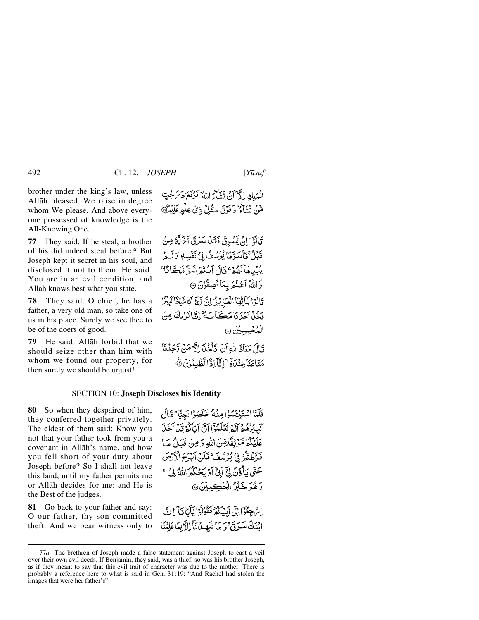brother under the king's law, unless Allåh pleased. We raise in degree whom We please. And above everyone possessed of knowledge is the All-Knowing One.

**77** They said: If he steal, a brother of his did indeed steal before.*<sup>a</sup>* But Joseph kept it secret in his soul, and disclosed it not to them. He said: You are in an evil condition, and Allåh knows best what you state.

**78** They said: O chief, he has a father, a very old man, so take one of us in his place. Surely we see thee to be of the doers of good.

**79** He said: Allåh forbid that we should seize other than him with whom we found our property, for then surely we should be unjust!

الْعَلِكِ الْآَيَنَ نَتَيْتَاءَ اللَّهُ لَنَزْفَعُ دَيْنَ جُتٍّ *هَنْ* نَتْتَآءُ وَ فَوْقَ ڪُلِّ ذِيْ عِلْمِ عَلِيْدِهِنَّ@

قَالَوْٓالِنُ بِيَسُوقُ فَقَدۡلَ سَيَرَقَ آَخٌ لَّهُٗ مِنۡ قَبْلُ فَأَسَرَّهَا يُؤْسُفُ فِي نَفْسِهِ وَلَـهِ <sup>ور</sup>برها لَهُمْ قَالَ اَنْتُمُ شَرٌّ مَّكَانَا ۚ وَاللَّهُ آَعُلَمُ بِمَا تَصِفُوْنَ ۞ قَالُوْا يَأْتِهَا الْعَرْبِيرُ إِنَّ لَمَّ آبَا شَيْغًا لَبِيْزًا فَخُذْ آجَدَنَا مَڪَأَنَّةُ إِنَّا نَزْيِكَ مِنَ الْمُخْسِنِيْنَ @ قَالَ مَعَاذَ اللهِ أَنْ يَأْخُذَ إِلاَّ مَنْ وَحَدْنَا

مَتَاعَنَا عِنْدَهَ ۚ "إِنَّآ إِذًا لِّطْلِعُوْنَ ۞

## SECTION 10: **Joseph Discloses his Identity**

**80** So when they despaired of him, they conferred together privately. The eldest of them said: Know you not that your father took from you a covenant in Allåh's name, and how you fell short of your duty about Joseph before? So I shall not leave this land, until my father permits me or Allåh decides for me; and He is the Best of the judges.

**81** Go back to your father and say: O our father, thy son committed theft. And we bear witness only to فَلَمَّاالْهُتَدْعَسُوْاهِنَّهُ خَلَصُوْا نَجِتَّا ۖ فَأَلَ كَبِّدُهُمْ أَلَهُ تَعْلَمُوْۤا أَنَّ أَيَأَكُمُ قَدْ أَخَذَ عَلَيْكُمْ مَّوْثِقَّاقِينَ اللهِ وَمِنْ قَبْلُ مَا فَرَّطُنُّهُ فِي يُوْسُفَ ۚ فَلَنْ آبَرَحَ الْأَرْضَ حَتَّى بِأَذَنَ بِيِّ آبِيٍّ أَوْ يَحْكُمُ اللَّهُ لِي ۚ ۚ رَهُوَ خَيْرُ الْخُكِمِيْنَ۞

اِمْ جِعُوَّا إِلَى آبِيَكُمْ نَفْرُكُوْا يَأْبَانَا ٓ إِنَّ ابْنَكَ سَرَقَ ۚ وَ مَا شَهِدۡ نَآلِلَائِمَاعَلِنَنَا

<sup>77</sup>*a.* The brethren of Joseph made a false statement against Joseph to cast a veil over their own evil deeds. If Benjamin, they said, was a thief, so was his brother Joseph, as if they meant to say that this evil trait of character was due to the mother. There is probably a reference here to what is said in Gen. 31:19: "And Rachel had stolen the images that were her father's".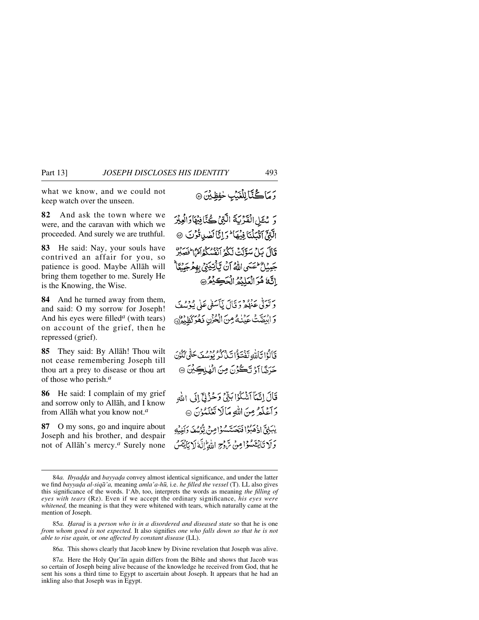what we know, and we could not keep watch over the unseen.

**82** And ask the town where we were, and the caravan with which we proceeded. And surely we are truthful.

**83** He said: Nay, your souls have contrived an affair for you, so patience is good. Maybe Allåh will bring them together to me. Surely He is the Knowing, the Wise.

**84** And he turned away from them, and said: O my sorrow for Joseph! And his eyes were filled*<sup>a</sup>* (with tears) on account of the grief, then he repressed (grief).

**85** They said: By Allåh! Thou wilt not cease remembering Joseph till thou art a prey to disease or thou art of those who perish.*<sup>a</sup>*

**86** He said: I complain of my grief and sorrow only to Allåh, and I know from Allåh what you know not.*<sup>a</sup>*

**87** O my sons, go and inquire about Joseph and his brother, and despair not of Allåh's mercy.*<sup>a</sup>* Surely none **رَمَاڴَنَّ**ٲٳلِلۡغَيۡبِ حٰفِظِيۡنَ۞

رَ مُتَلِى الْقَدْيَةَ الَّتِيْ كُنَّانِيْهَا وَالْعِيْرَ الَّتِيِّ آَتَيْكِنَّنَا فِيُهَا لَمْ إِنَّا لَضِياتُوْتَ @ قال بياد سوين بيرد من موسط من المسنة.<br>قال بيل سويت ليكو أنفسكواهما فصلر جَيِّبِيْلُ عَصَبِي اللَّهُ آنُ يَّأْتِيَنِيُّ بِهِمْ جَيْبِيًّا الَّهُ مُوَ الْعَلِيْمُ الْحَكِيْمُ @

وتولّى عَنْهُمْ وَتَالَ يَأْسَفَى عَلَى يُؤْسُفَ وَابِيَقَتْ عَيْنُهُ مِنَ الْحُزْنِ ذَهُوَ كَظِيْمٌ

فَأَلَوْا تَأَلَّمُهِ تَفْتَؤُا نَبْذُكُرُ بُوْسُفَ حَتَّى تَكُوْنَ حَرَضًا آوُ تَكُوُنَ مِنَ الْهٰلِكِينَ ۞

قَالَ إِنَّمَآ آَشْكُوۡ البَنِّيۡ وَحُزْنِيَّ إِلَى اللَّهِ رَآءَ لَمْ مِنَ اللَّهِ مَالَا تَعْلَمُوْنَ ۞ يبَيِّنِيَّ إِذْهَبُوْا فَتَحَسَّسُوْا مِنْ تَوْسُفَ دَاخِيْهِ وَلَا تَأْيُفَعَدُ إِمِنْ مَّ وَجِ اللَّهُ إِنَّهُ لَا بَأَيْفَيْنُ

86*a.* This shows clearly that Jacob knew by Divine revelation that Joseph was alive.

<sup>84</sup>*a. Ibyadda* and *bayyada* convey almost identical significance, and under the latter we find *bayya˙a al-siqå'a,* meaning *amla'a-h∂,* i.e. *he filled the vessel* (T). LL also gives this significance of the words. I'Ab, too, interprets the words as meaning *the filling of eyes with tears* (Rz). Even if we accept the ordinary significance, *his eyes were whitened,* the meaning is that they were whitened with tears, which naturally came at the mention of Joseph.

<sup>85</sup>*a. Harad* is a *person who is in a disordered and diseased state* so that he is one *from whom good is not expected.* It also signifies *one who falls down so that he is not able to rise again,* or *one affected by constant disease* (LL).

<sup>87</sup>*a.* Here the Holy Qur'ån again differs from the Bible and shows that Jacob was so certain of Joseph being alive because of the knowledge he received from God, that he sent his sons a third time to Egypt to ascertain about Joseph. It appears that he had an inkling also that Joseph was in Egypt.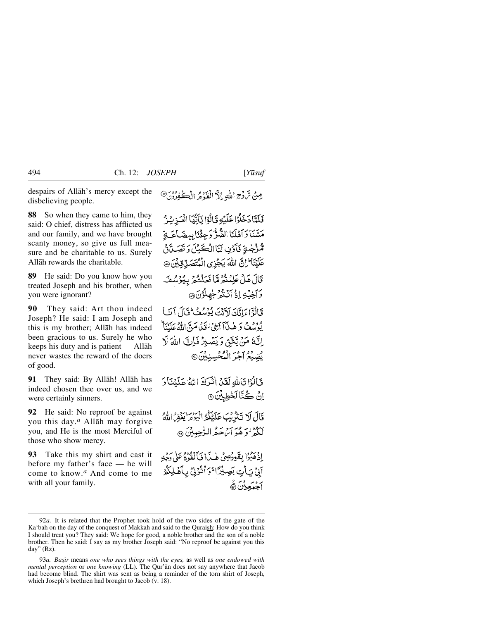despairs of Allåh's mercy except the disbelieving people.

**88** So when they came to him, they said: O chief, distress has afflicted us and our family, and we have brought scanty money, so give us full measure and be charitable to us. Surely Allåh rewards the charitable.

**89** He said: Do you know how you treated Joseph and his brother, when you were ignorant?

**90** They said: Art thou indeed Joseph? He said: I am Joseph and this is my brother; Allåh has indeed been gracious to us. Surely he who keeps his duty and is patient — Allåh never wastes the reward of the doers of good.

**91** They said: By Allåh! Allåh has indeed chosen thee over us, and we were certainly sinners.

**92** He said: No reproof be against you this day.*<sup>a</sup>* Allåh may forgive you, and He is the most Merciful of those who show mercy.

**93** Take this my shirt and cast it before my father's face — he will come to know.*<sup>a</sup>* And come to me with all your family.

فَلَمَّا دَخَلُوْا عَلَيْهِ قَالُوْا يَأَيُّهَا الْعَزِيْرُ مَسَّنَا وَأَهْلَنَا الضَّرُّ وَجِئْنَا بِبِضَاعَةٍ مُّزْجُةٍ نَأْرُنِ لَنَا الْكَيْلَ وَتَصَلَّقُ عَلَيْنَا ۚ إِنَّ اللَّهَ يَجْزِى الْمُتَصَلِّقِيْنَ ۞ قَالَ هَلْ عَلِمۡنَٰٓءٌ مَّا فَعَلۡنَّهُمۡ بِيُوۡسُفَـِّ دَ آخِيَّةِ إِذْ آنَنْݣُمْ جَهْلُوُنَ۞ قَالُوْٓاءَانَّكَ لَاَنۡتَ يُوۡسُعۡ ۖ فَالۡ ٱتَبَا يُوْسُعُ كَهِ هٰذَآ ٱبِنِيۡ ٰ فَيَلۡ مَتِنَ اللَّهُ عَلَيۡنَاۚ إِنَّهُ مَنْ يَتَّقِ وَيَصْبِرُ فَإِنَّ اللَّهَ لَا يُضِيْعُ آجَرَ الْمُحْسِنِيْنَ@ قَالُوْا تَأْلَلُهِ لَقَنْ انْتَرَادَ اللَّهُ عَلَيْنَا رَ اِنْ كُنَّالَخْطِيْنَ،

قَالَ لَا تَتْدُبْبَ عَلَيْكُمُّ الْبَرْمَ يَغْفِي اللَّهِ لَكُوْنُوَ هُوَ أَيْرَحَمُ النُّجِيبِينَ ۞

إِذْ هَبُوْا بِقَعِيْصِيْ هٰذَا فَأَلْقُوهُ عَلَى دَجْهِ آبيُ يَأْتِ بَصِيْرًا ۚ وَأَتَّرُنِيُ بِأَهْلِكُمُ بر وسروبرغ<br>اج**ېدي**ون ۱۳

مِنْ سَّ دِّجِ اللَّهِ إِلَيْ الْفَدْمُ الْڪَفِرُدُنَ<sup>@</sup>

<sup>92</sup>*a.* It is related that the Prophet took hold of the two sides of the gate of the Ka'bah on the day of the conquest of Makkah and said to the Quraish: How do you think I should treat you? They said: We hope for good, a noble brother and the son of a noble brother. Then he said: I say as my brother Joseph said: "No reproof be against you this day" (Rz).

<sup>93</sup>*a. Başir* means *one who sees things with the eyes*, as well as *one endowed with mental perception* or *one knowing* (LL). The Qur'ån does not say anywhere that Jacob had become blind. The shirt was sent as being a reminder of the torn shirt of Joseph, which Joseph's brethren had brought to Jacob (v. 18).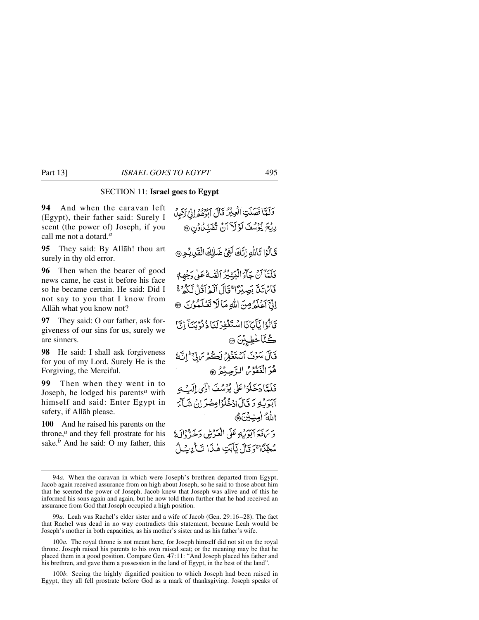## SECTION 11: **Israel goes to Egypt**

**94** And when the caravan left (Egypt), their father said: Surely I scent (the power of) Joseph, if you call me not a dotard.*<sup>a</sup>*

**95** They said: By Allåh! thou art surely in thy old error.

**96** Then when the bearer of good news came, he cast it before his face so he became certain. He said: Did I not say to you that I know from Allåh what you know not?

**97** They said: O our father, ask forgiveness of our sins for us, surely we are sinners.

**98** He said: I shall ask forgiveness for you of my Lord. Surely He is the Forgiving, the Merciful.

**99** Then when they went in to Joseph, he lodged his parents*<sup>a</sup>* with himself and said: Enter Egypt in safety, if Allåh please.

**100** And he raised his parents on the throne,*<sup>a</sup>* and they fell prostrate for his sake.<sup>*b*</sup> And he said: O my father, this

وَلَمَّا فَصَلَتِ الْعِيْرُ قَالَ ابْرُهُ وَإِنِّ لَاَجِلُ رِيْحَ يُؤْسُفَ لَوْلَاَ أَنْ تُفَتِّدُونِ۞ قَالُوْا تَالِلُهِ إِنَّكَ لَفِي ضَلِلَّهِ الْقَدِيْمِ فَلَعَّآ أَنْ جَآءَ الْبَيِّنْ يُمْرُ إِلَّقْمَةُ عَلَىٰ وَجُهِهِ فَأَنْ تَدَبَّ بَصِيْرًا ۚ قَالَ ٱلْمِرَاقَٰلُ لَّكُمْ ﴾ الِّيَّ آعَلَمُ مِنَ اللَّهِ مَا لَا تَعْلَمُوْنَ ۞ قَالُوْا نَأْيَانَا اسْتَغْفِرْ لَيَا ذُنُوْيَنَآ إِنَّ كُتَّاخْطِيِّينَ @ قَالَ سَوُنَ أَسْتَغْفِرُ لَكُمْ مَا تِي َ إِنَّ هُوَ الْغَفُوْمُ الدَّحِيْهُ ۞ فَلَعَّادَ خَلُوْاعَلَى يُوْسُفَ اٰذَى الَّبَ مِ آبَدَ بِّهِ دَ قَالَ ادْخُلُوْامِضْدَ إِنْ شَبَآءَ اللهُ امِنِيْنَ﴾ وَ بَرِيَةِ آيَوَيْهِ عَلَى الْعَبْرِيقِ وَجَهَّ ۚ إِلَهَ لَا سُعَّدًا ۚ وَ قَالَ نَأْبَتِ هٰذَا تَ}ْوِبُ}ُ

100*b.* Seeing the highly dignified position to which Joseph had been raised in Egypt, they all fell prostrate before God as a mark of thanksgiving. Joseph speaks of

<sup>94</sup>*a.* When the caravan in which were Joseph's brethren departed from Egypt, Jacob again received assurance from on high about Joseph, so he said to those about him that he scented the power of Joseph. Jacob knew that Joseph was alive and of this he informed his sons again and again, but he now told them further that he had received an assurance from God that Joseph occupied a high position.

<sup>99</sup>*a.* Leah was Rachel's elder sister and a wife of Jacob (Gen. 29:16–28). The fact that Rachel was dead in no way contradicts this statement, because Leah would be Joseph's mother in both capacities, as his mother's sister and as his father's wife.

<sup>100</sup>*a.* The royal throne is not meant here, for Joseph himself did not sit on the royal throne. Joseph raised his parents to his own raised seat; or the meaning may be that he placed them in a good position. Compare Gen. 47:11: "And Joseph placed his father and his brethren, and gave them a possession in the land of Egypt, in the best of the land".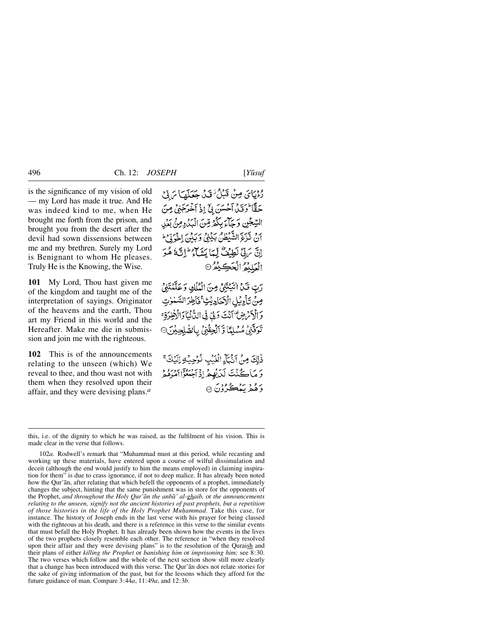is the significance of my vision of old — my Lord has made it true. And He was indeed kind to me, when He brought me forth from the prison, and brought you from the desert after the devil had sown dissensions between me and my brethren. Surely my Lord is Benignant to whom He pleases. Truly He is the Knowing, the Wise.

**101** My Lord, Thou hast given me of the kingdom and taught me of the interpretation of sayings. Originator of the heavens and the earth, Thou art my Friend in this world and the Hereafter. Make me die in submission and join me with the righteous.

**102** This is of the announcements relating to the unseen (which) We reveal to thee, and thou wast not with them when they resolved upon their affair, and they were devising plans.*<sup>a</sup>*

روياي مِنْ قَبْلُ قَدْ جَعَلَهَا بَرِقِ حَقًّا وَقَدْ أَحْسَنَ بِيِّ إِذْ أَخْرَجَنِي مِنَ السِّجْنِ وَجَاءَ بِكُمْ مِّنَ الْبَذْدِمِنُ بَعْدِ برد تيجيح الشَّيْطُنُ بَدْيَنِي وَبَدِّنِ إِخْرَبِيْ ۖ اِنَّ يَرَبِّيْ لَطِيْعٌ لِّمَا يَشَاءُ إِلَيْهِ ثَمَّوَ الْعَلِيْمُ الْحَكِيْمُرْ۞

رَبِّ فَكِنَّ الْيَكْتَنِيُّ مِنَ الْمُلْكِ وَعَلَّمْتَنِيُّ صِنْ تَأْوِيْلِ الْإِحَادِيْتِ ۚ فَأَطِرَ السَّلْوٰتِ وَالْأَمْرَضِ ۖ أَنْتَ وَلِيٍّ فِي الدُّّنْيَا وَالْأَخِرَةِ ۚ تَوَفَّنِيَّ مُسْلِمًّا وَّ ٱلْحِقْنِّ بِالصَّلِحِيْنَ @

ذٰلِكَ مِنْ اَنْبَآءِ الْغَيْبِ نُوُحِيَّةِ لِلَّيْكَ ۚ دَ مَاڪُنۡتَ لَدَيۡهِمۡ إِذۡ ٱجۡتُغُوۡۤاٰامُدۡهُمۡ برو د پښځ دي.<br>د هغه پښځ دي

this, i.e. of the dignity to which he was raised, as the fulfilment of his vision. This is made clear in the verse that follows.

<sup>102</sup>*a.* Rodwell's remark that "Muhammad must at this period, while recasting and working up these materials, have entered upon a course of wilful dissimulation and deceit (although the end would justify to him the means employed) in claiming inspiration for them" is due to crass ignorance, if not to deep malice. It has already been noted how the Qur'ån, after relating that which befell the opponents of a prophet, immediately changes the subject, hinting that the same punishment was in store for the opponents of the Prophet, *and throughout the Holy Qur'ån the anbå' al-ghaib,* or *the announcements relating to the unseen, signify not the ancient histories of past prophets, but a repetition of those histories in the life of the Holy Prophet Muƒammad.* Take this case, for instance. The history of Joseph ends in the last verse with his prayer for being classed with the righteous at his death, and there is a reference in this verse to the similar events that must befall the Holy Prophet. It has already been shown how the events in the lives of the two prophets closely resemble each other. The reference in "when they resolved upon their affair and they were devising plans" is to the resolution of the Quraish and their plans of either *killing the Prophet* or *banishing him* or *imprisoning him;* see 8:30. The two verses which follow and the whole of the next section show still more clearly that a change has been introduced with this verse. The Qur'ån does not relate stories for the sake of giving information of the past, but for the lessons which they afford for the future guidance of man. Compare 3:44*a*, 11:49*a*, and 12:3*b*.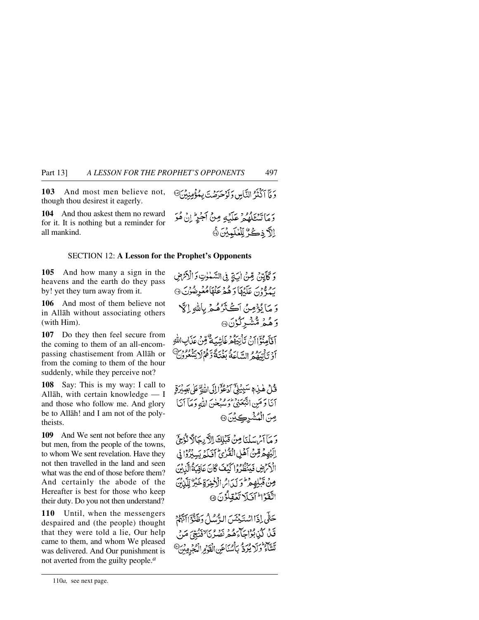**103** And most men believe not, though thou desirest it eagerly.

**104** And thou askest them no reward for it. It is nothing but a reminder for all mankind.

## SECTION 12: **A Lesson for the Prophet's Opponents**

**105** And how many a sign in the heavens and the earth do they pass by! yet they turn away from it.

**106** And most of them believe not in Allåh without associating others (with Him).

**107** Do they then feel secure from the coming to them of an all-encompassing chastisement from Allåh or from the coming to them of the hour suddenly, while they perceive not?

**108** Say: This is my way: I call to Allåh, with certain knowledge — I and those who follow me. And glory be to Allåh! and I am not of the polytheists.

**109** And We sent not before thee any but men, from the people of the towns, to whom We sent revelation. Have they not then travelled in the land and seen what was the end of those before them? And certainly the abode of the Hereafter is best for those who keep their duty. Do you not then understand?

**110** Until, when the messengers despaired and (the people) thought that they were told a lie, Our help came to them, and whom We pleased was delivered. And Our punishment is not averted from the guilty people.*<sup>a</sup>*

دِمَاتِيهُمْ وَعَلَيْهِ مِنْ أَجْرِ إِنْ هُوَ إِلاَّ ذِكَرٌ لِّلْغُلَمِيْنَ ۞

دَ مَأَ ٱكْثَنَ<sup>ر</sup>ُ النَّامِينِ وَ أَوْحَدَصْتَ بِمُؤْمِنِينِ ۖ

وَ كَأَيَّتِهِ، قِينُ أَيَةٍ فِي السَّبْلُوتِ وَالْأَرْتَرَضِ سودون عَلَيْهَا دَ هُمْرِ عَنْهَا مُعُرِضُوْنَ ۞ وَ مَا يُؤْمِنُ اَكْتَرْهُمْ بِاللَّهِ إِلَّا

ۇھُمُ مُشْيِرْكُوْنَ۞

آفآهِنَّةَ إِرْمِ تَأْتِيَهُمْ غَاَشْيَةٌ قِينَ عَدَابِ اللهِ } : يَدْرُومُ إِنِّيَاءَ يُرْبِرَ وَعَدَّةً وَهُمْ لَا يَبْنُوهُ وَمِنْ }<br>أَوْ يَأْتِيْهُمْ السَّاعَةُ بِغُنِيَّةً وَهُمْ لا يَشْعُرُونَ

قُلْ هٰذِهٖ سَيِيْلِيِّ أَدْعُوَّا إِلَى اللَّهِ عَلَى بَصِيْرَةٍ آنَا وَمَنِ اتَّبَعَنِيُّ وَسُبْحٰنَ اللَّهِ وَمَآ آنَا صِنَ الْمُشْرِكِيْنَ۞

وَ مَأَأَيْرِ سَلْنَا مِنْ قَبْلِكَ الْآرِيجَالَا تَوْجِيّ اِلَّيُهِمَّ مِّنْ أَهْلِ الْقُرْئِ أَفَيَاءَ بَسِبْرُدُّ! فِي الْأَكْرَضِ فَيَنْظُرُوا كَيْفَ كَانَ عَاقِبَةُ الَّذِينَ مِنْ قَبْلِهِ مِرْطُوَ كَدَائِرا الْأَخِيرَ قِضَيْرٌ لِّلَّذَنِنَ اتَّقَوَّا الْكَلَاتَغَلَّلُونَ ۞

حَثَّى إِذَااسْتَيْئَسَ الرُّسُلُ وَظَنَّوَ النَّهُمُ قَلْ كَيْنِبُوْاجَاءَهُمْ نَصْرُنَا لِنَّبِيِّ مَنْ تَشَاءُ وَكَرْ يُرَدُّ بِأَسْنَاعَنِ الْقَوْمِ الْمُجْرِمِينَ @

<sup>110</sup>*a,* see next page.